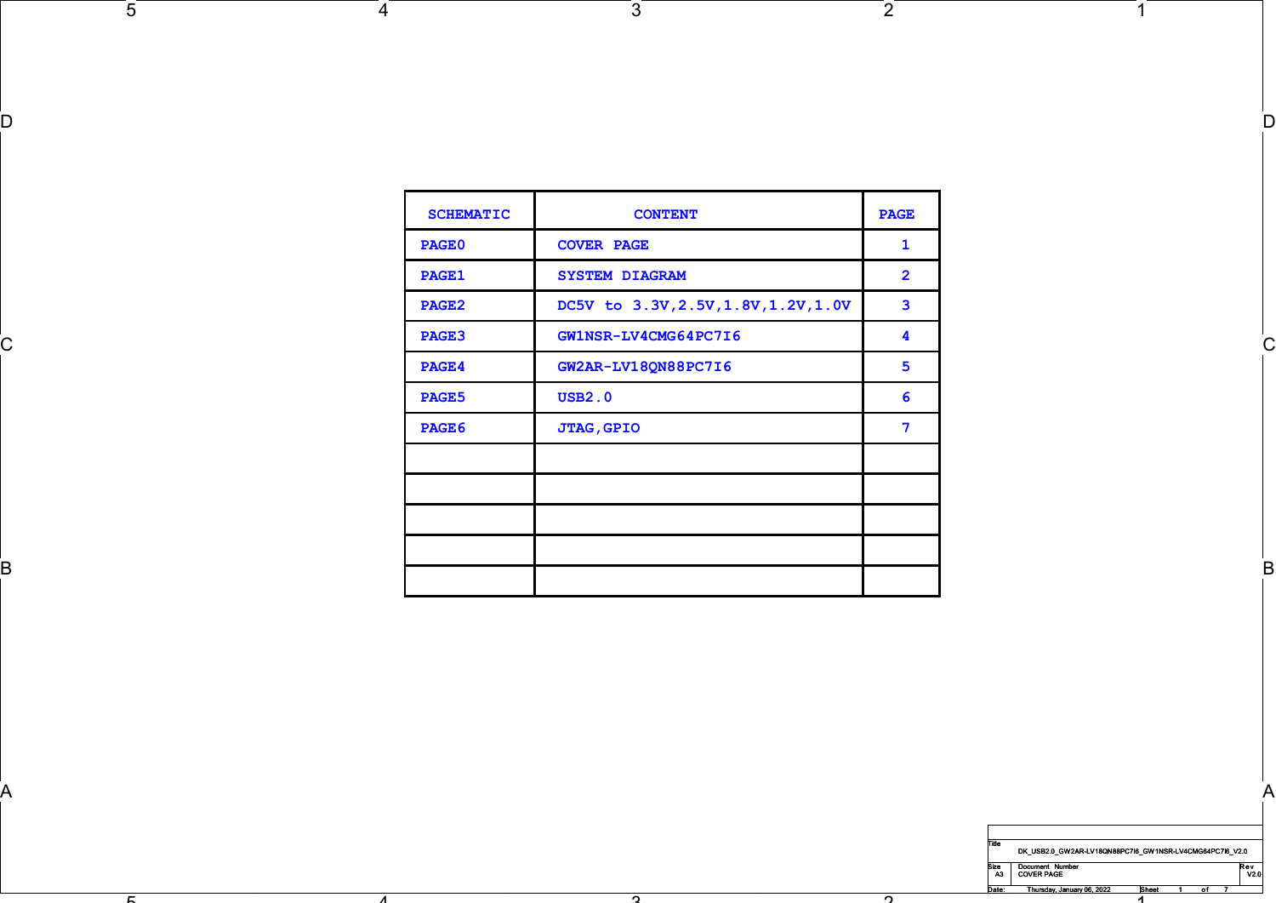| <b>SCHEMATIC</b><br><b>CONTENT</b><br><b>PAGE</b><br>PAGE0<br><b>COVER PAGE</b><br>1<br>$\overline{2}$<br>PAGE1<br><b>SYSTEM DIAGRAM</b><br>DC5V to 3.3V, 2.5V, 1.8V, 1.2V, 1.0V<br>$\mathbf{3}$<br><b>PAGE2</b><br>PAGE3<br>GW1NSR-LV4CMG64PC7I6<br>4<br>C.<br>GW2AR-LV18QN88PC7I6<br>$5\phantom{.0}$<br>PAGE4<br><b>USB2.0</b><br>PAGE5<br>6<br>$\overline{7}$<br>PAGE6<br><b>JTAG, GPIO</b><br>В |  |  |
|-----------------------------------------------------------------------------------------------------------------------------------------------------------------------------------------------------------------------------------------------------------------------------------------------------------------------------------------------------------------------------------------------------|--|--|
|                                                                                                                                                                                                                                                                                                                                                                                                     |  |  |
|                                                                                                                                                                                                                                                                                                                                                                                                     |  |  |
|                                                                                                                                                                                                                                                                                                                                                                                                     |  |  |
|                                                                                                                                                                                                                                                                                                                                                                                                     |  |  |
|                                                                                                                                                                                                                                                                                                                                                                                                     |  |  |
|                                                                                                                                                                                                                                                                                                                                                                                                     |  |  |
|                                                                                                                                                                                                                                                                                                                                                                                                     |  |  |
|                                                                                                                                                                                                                                                                                                                                                                                                     |  |  |
|                                                                                                                                                                                                                                                                                                                                                                                                     |  |  |
|                                                                                                                                                                                                                                                                                                                                                                                                     |  |  |
|                                                                                                                                                                                                                                                                                                                                                                                                     |  |  |
|                                                                                                                                                                                                                                                                                                                                                                                                     |  |  |
|                                                                                                                                                                                                                                                                                                                                                                                                     |  |  |

 $\sim$ 

 $\mathsf A$ 

 $\sqrt{3}$ 

D and the contract of the contract of the contract of the contract of the contract of the contract of the contract of the contract of the contract of the contract of the contract of the contract of the contract of the cont

 $\sqrt{2}$ 

 $\overline{2}$ 



1

 $\overline{1}$ 

 $\overline{5}$ 

 $4$ 

4

 $\mathbf{r}$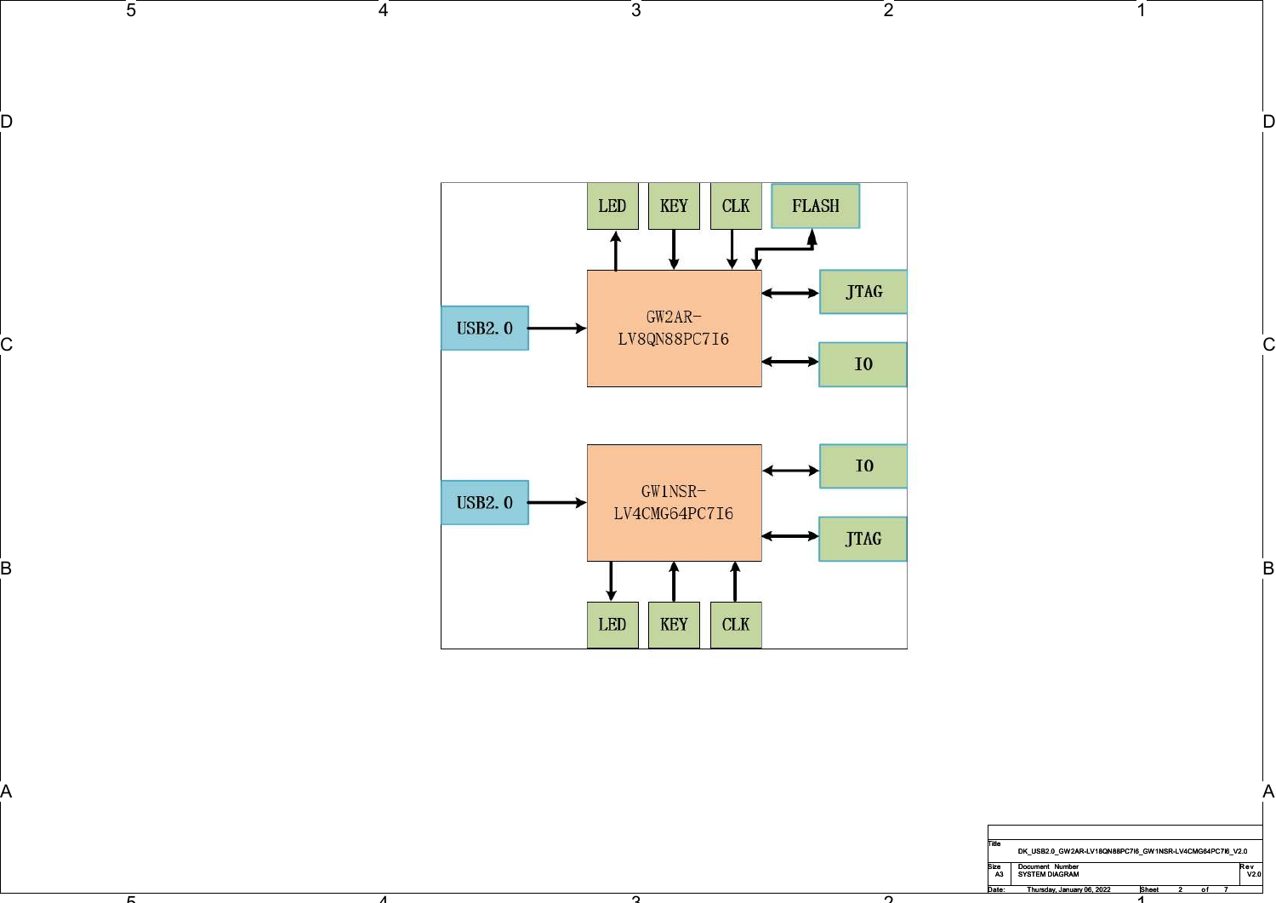

 $\sim$ 

 $\mathsf A$ 

 $\sqrt{3}$ 

D and the contract of the contract of the contract of the contract of the contract of the contract of the contract of the contract of the contract of the contract of the contract of the contract of the contract of the cont

|                                                                                            | B            |
|--------------------------------------------------------------------------------------------|--------------|
|                                                                                            | $\mathsf{A}$ |
| Title<br>DK_USB2.0_GW2AR-LV18QN88PC7I6_GW1NSR-LV4CMG64PC7I6_V2.0                           |              |
| Document Number<br>SYSTEM DIAGRAM<br>Size<br>A3<br>$Rev$<br>$V2.0$                         |              |
| Thursday, January 06, 2022<br>Sheet<br>Date:<br>$\overline{2}$<br>of $7$<br>$\overline{A}$ |              |
|                                                                                            |              |

 $1$ 

 $\sqrt{2}$ 

ີດີ

 $4$ 

4

 $\overline{5}$ 

ັຕີ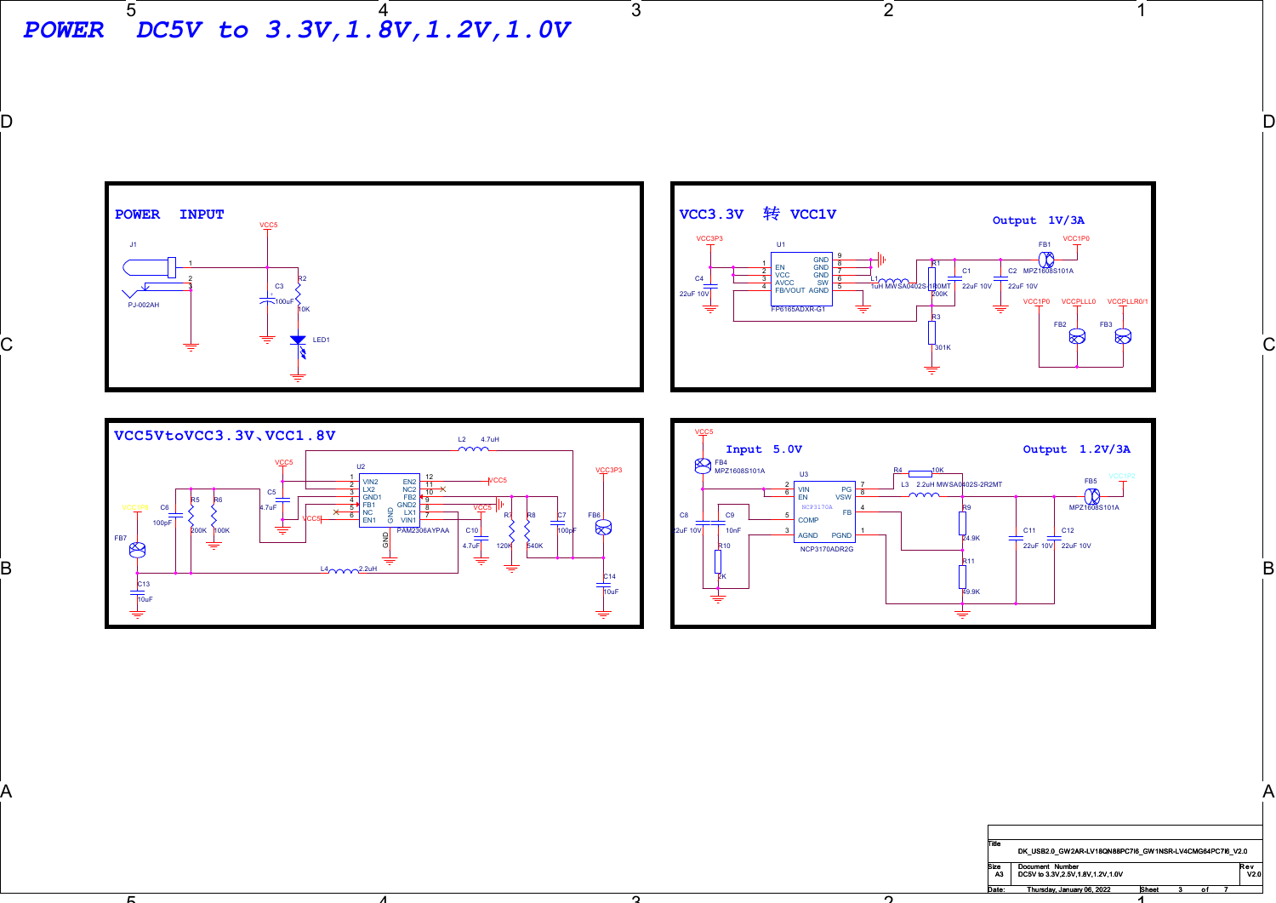5 4 POWER DC5V to 3.3V,1.8V,1.2V,1.0V

J1 and the contract of the contract of the contract of the contract of the contract of the contract of the contract of the contract of the contract of the contract of the contract of the contract of the contract of the con

POWER INPUT



 $\sqrt{3}$ 

D and the contract of the contract of the contract of the contract of the contract of the contract of the contract of the contract of the contract of the contract of the contract of the contract of the contract of the cont

o.

 $\mathsf A$ 



4

 $\mathbf{r}$ 



n.

Title Size Document Number<br>A3 DC5V to 3.3V,2.5V,1.8V,1.2V,1.0V

1

 $\overline{1}$ 

 $\sqrt{2}$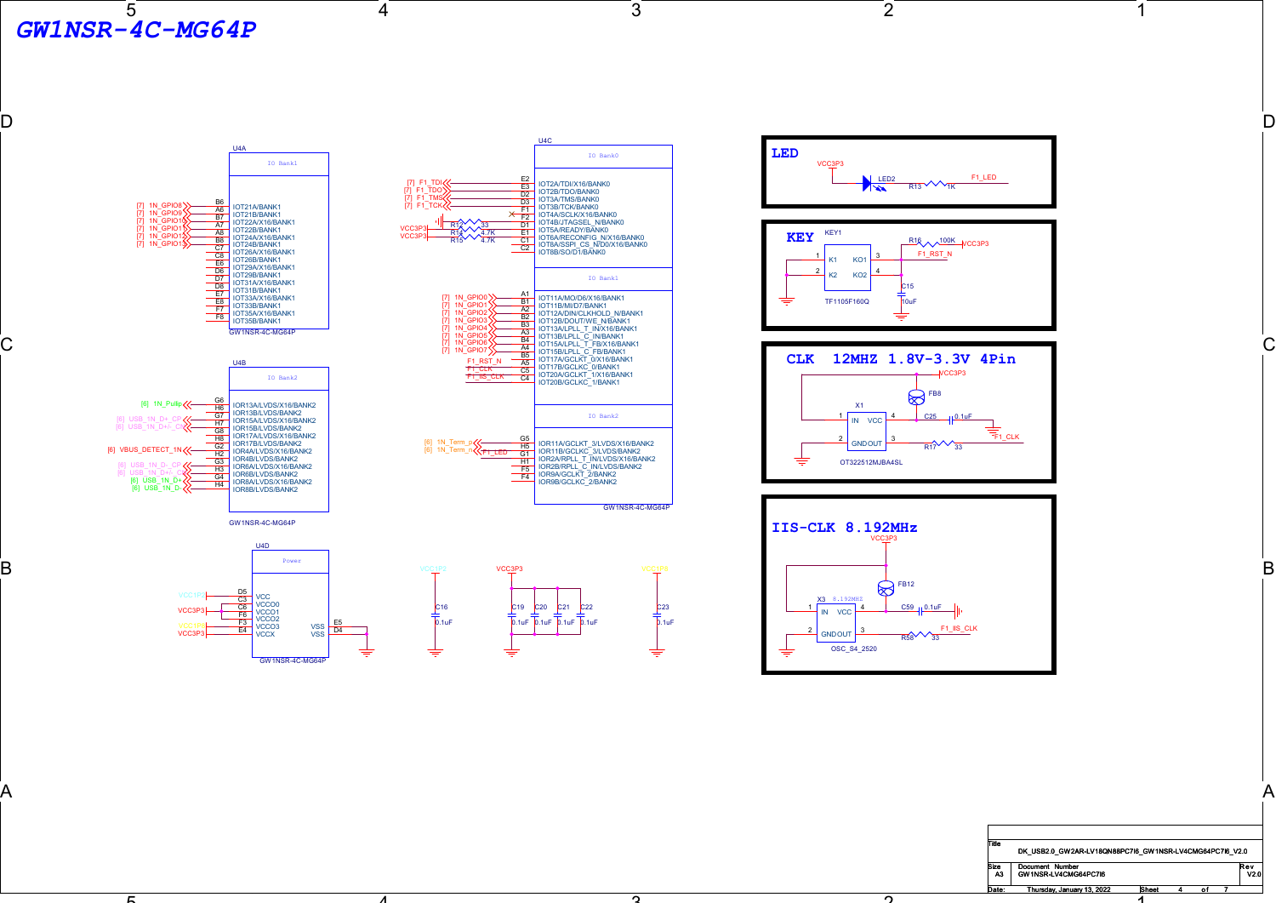$\overline{5}$ GW1NSR-4C-MG64P

5

 $\overline{3}$ 

D and the contract of the contract of the contract of the contract of the contract of the contract of the contract of the contract of the contract of the contract of the contract of the contract of the contract of the cont

 $\sim$ 

 $\mathsf A$ 

0.1uF

 $\overline{2}$ 



4



4







 $\sim$ 



1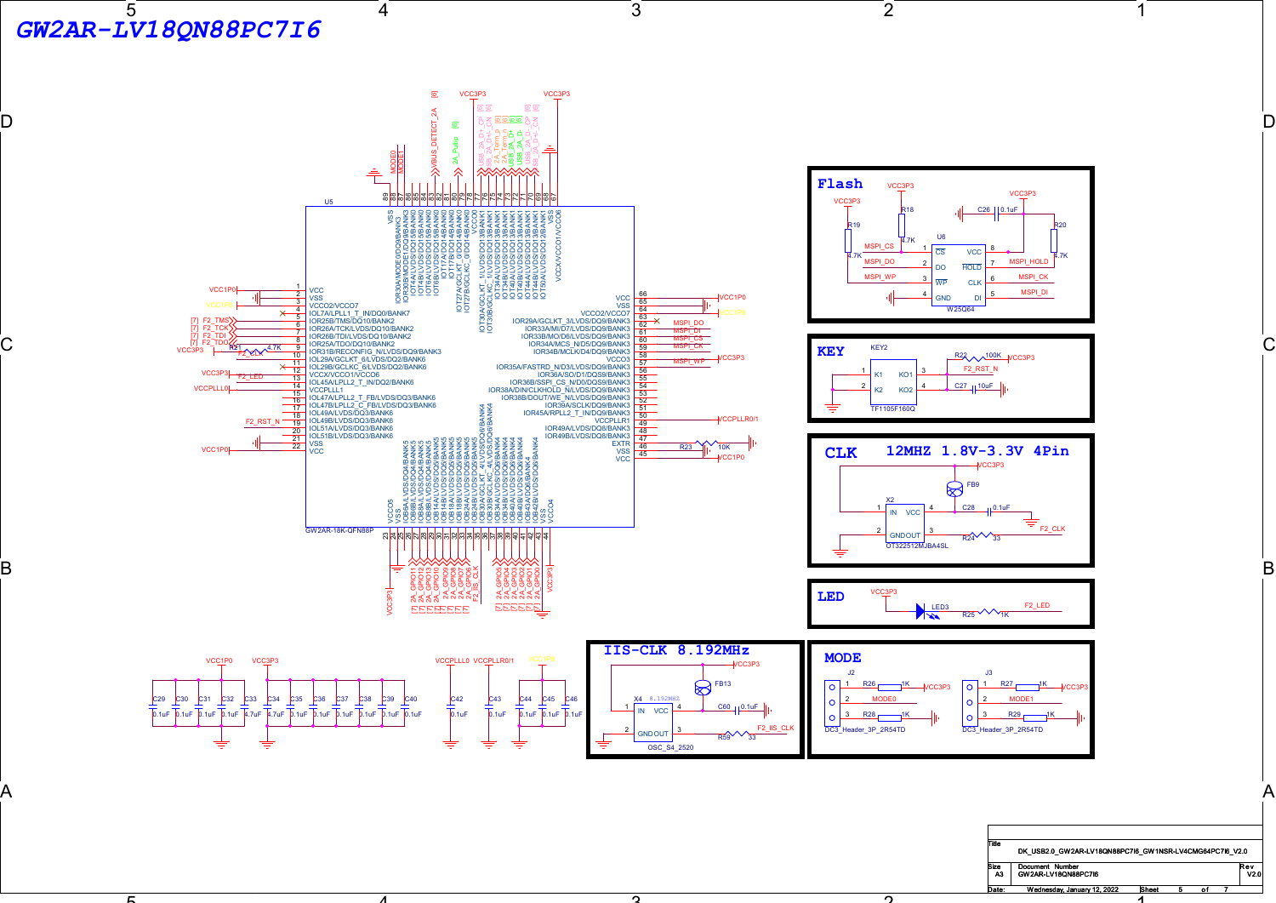

4

5



VCC3P3 VCC3P3

o.

Size Document Number<br>
A3 GW2AR-LV18QN88PC7I6 V2.0

1

1

 $\overline{2}$ 

n.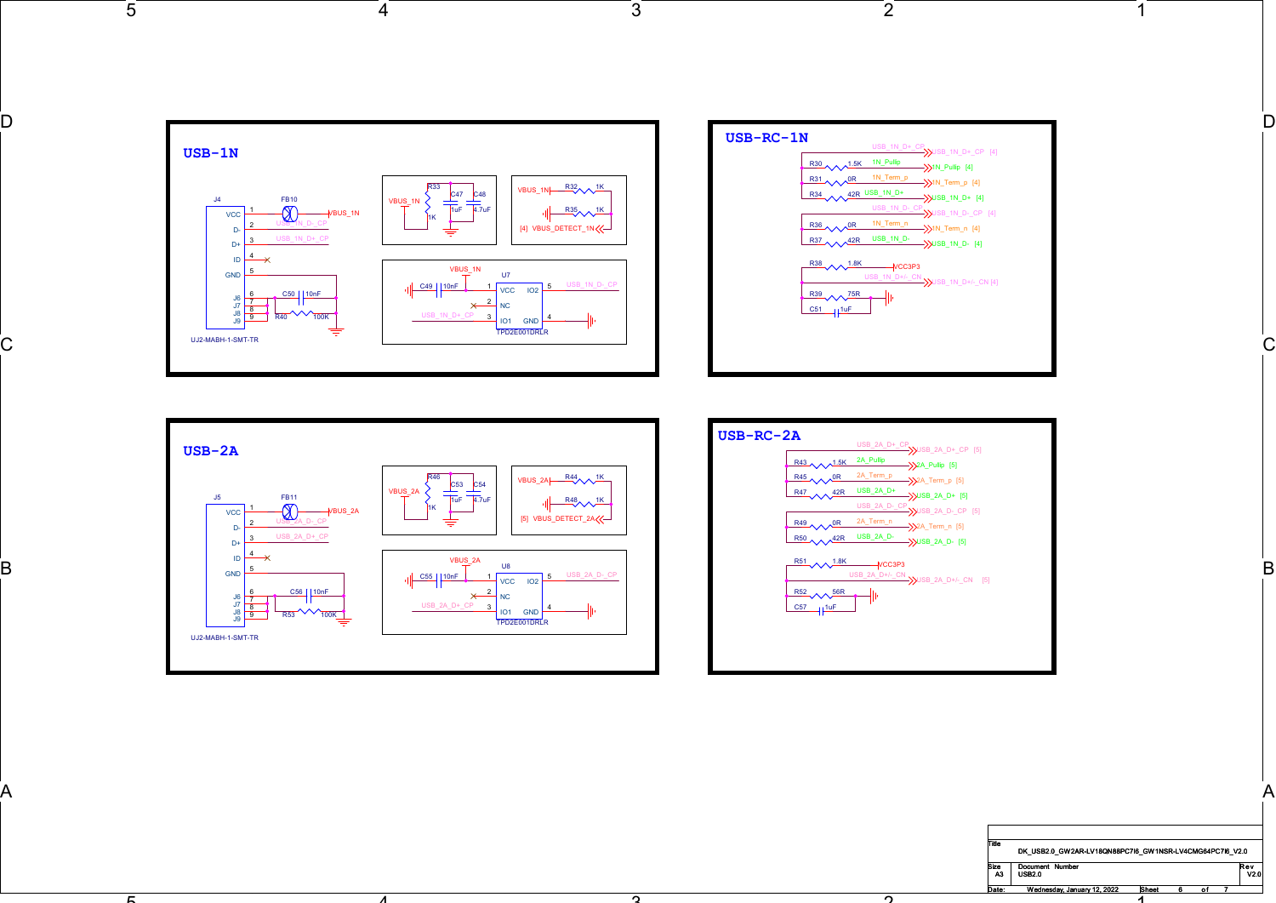

 $\sqrt{3}$ 

ີດ້

 $\mathsf A$ 



 $\sqrt{2}$ 



4

 $4$ 

 $\overline{5}$ 

່ຕ່



 $\bar{c}$ 

|                                           |                                                                                   | $\mathsf{A}$    |  |
|-------------------------------------------|-----------------------------------------------------------------------------------|-----------------|--|
| Title                                     | DK_USB2.0_GW2AR-LV18QN88PC7I6_GW1NSR-LV4CMG64PC7I6_V2.0                           |                 |  |
| Size<br>  A3<br>Document Number<br>USB2.0 |                                                                                   | $Rev$<br>$V2.0$ |  |
| Date:                                     | Wednesday, January 12, 2022<br>Sheet<br>$\overline{\mathbf{6}}$<br>$\overline{A}$ | of $7$          |  |

 $\overline{1}$